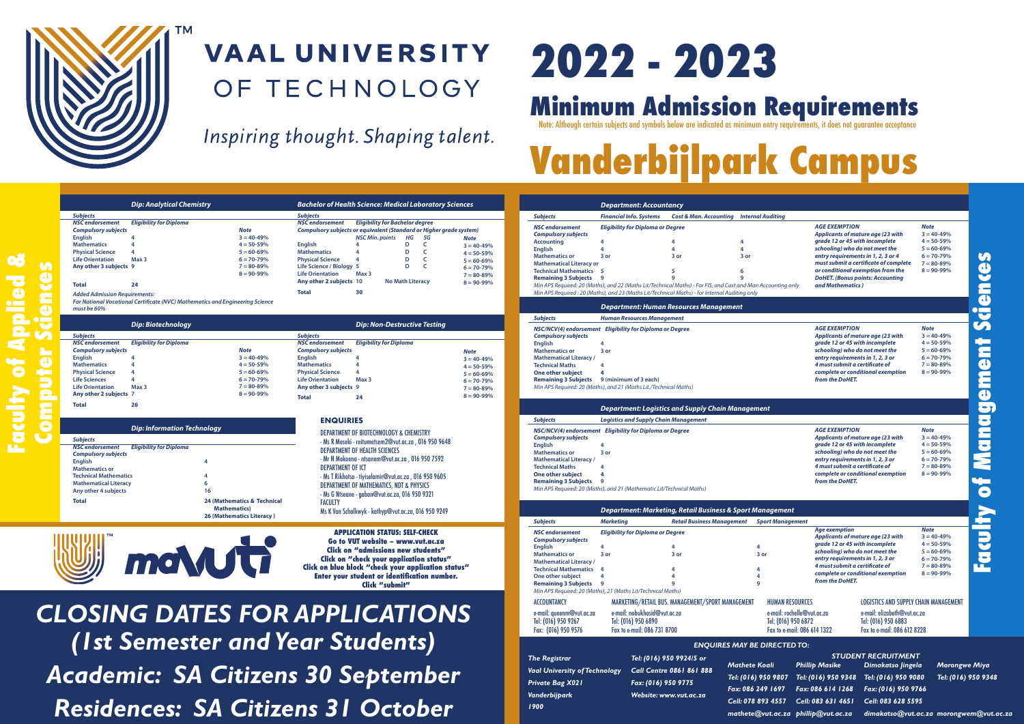

**Faculty of Applied &**

### **VAAL UNIVERSITY** OF TECHNOLOGY

Inspiring thought. Shaping talent.

# **2022 - 2023**

*Department: Accountancy Subjects Financial Info. Systems Cost & Man. Accounting Internal Auditing*

*Vanderbijpark 1900*

## **Minimum Um Admission Requirements And Requirements.**<br>Note: Although certain subjects and symbols below are indicated as minimum entry requirements, it does not guarantee acceptance

## **Vanderbijlpark Campus**

|                  |                                                                                                                                                                                                                                         | <b>Dip: Analytical Chemistry</b>                                             |                                                                                                                         |                                                                                                                                                                                                                 | <b>Bachelor of Health Science: Medical Laboratory Sciences</b>                                                                                                                                                                                                                                                     |                                                                                                                         |
|------------------|-----------------------------------------------------------------------------------------------------------------------------------------------------------------------------------------------------------------------------------------|------------------------------------------------------------------------------|-------------------------------------------------------------------------------------------------------------------------|-----------------------------------------------------------------------------------------------------------------------------------------------------------------------------------------------------------------|--------------------------------------------------------------------------------------------------------------------------------------------------------------------------------------------------------------------------------------------------------------------------------------------------------------------|-------------------------------------------------------------------------------------------------------------------------|
|                  | <b>Subjects</b><br><b>NSC</b> endorsement<br><b>Compulsory subjects</b><br><b>Enalish</b><br><b>Mathematics</b><br><b>Physical Science</b><br><b>Life Orientation</b>                                                                   | <b>Eligibility for Diploma</b><br>4<br>4<br>4<br>Max <sub>3</sub>            | <b>Note</b><br>$3 = 40 - 49%$<br>$4 = 50 - 59%$<br>$5 = 60 - 69%$<br>$6 = 70 - 79%$                                     | <b>Subjects</b><br><b>NSC</b> endorsement<br><b>English</b><br><b>Mathematics</b><br><b>Physical Science</b>                                                                                                    | <b>Eligibility for Bachelor degree</b><br>Compulsory subjects or equivalent (Standard or Higher grade system)<br><b>NSC Min. points</b><br>HG<br>SG<br>c<br>4<br>D<br>D<br>c<br>4<br>D<br>4<br>c                                                                                                                   | <b>Note</b><br>$3 = 40 - 49%$<br>$4 = 50 - 59%$<br>$5 = 60 - 69%$                                                       |
|                  | Any other 3 subjects 9<br><b>Total</b><br><b>Added Admission Requirements:</b><br>must be 60%                                                                                                                                           | 24                                                                           | $7 = 80 - 89%$<br>$8 = 90 - 99%$<br>For National Vocational Certificate (NVC) Mathematics and Engineering Science       | Life Science / Biology 5<br><b>Life Orientation</b><br>Any other 2 subjects 10<br><b>Total</b>                                                                                                                  | D<br>c<br>Max 3<br><b>No Math Literacy</b><br>30                                                                                                                                                                                                                                                                   | $6 = 70 - 79%$<br>$7 = 80 - 89%$<br>$8 = 90 - 99%$                                                                      |
|                  |                                                                                                                                                                                                                                         | Dip: Biotechnology                                                           |                                                                                                                         |                                                                                                                                                                                                                 | <b>Dip: Non-Destructive Testing</b>                                                                                                                                                                                                                                                                                |                                                                                                                         |
| omputer Sciences | <b>Subjects</b><br><b>NSC</b> endorsement<br><b>Compulsory subjects</b><br><b>English</b><br><b>Mathematics</b><br><b>Physical Science</b><br><b>Life Sciences</b><br><b>Life Orientation</b><br>Any other 2 subjects 7<br><b>Total</b> | <b>Eligibility for Diploma</b><br>4<br>4<br>4<br>4<br>Max <sub>3</sub><br>26 | <b>Note</b><br>$3 = 40 - 49%$<br>$4 = 50 - 59%$<br>$5 = 60 - 69%$<br>$6 = 70 - 79%$<br>$7 = 80 - 89%$<br>$8 = 90 - 99%$ | <b>Subjects</b><br><b>NSC</b> endorsement<br><b>Compulsory subjects</b><br><b>English</b><br><b>Mathematics</b><br><b>Physical Science</b><br><b>Life Orientation</b><br>Any other 3 subjects 9<br><b>Total</b> | <b>Eligibility for Diploma</b><br>4<br>4<br>4<br>Max 3<br>24                                                                                                                                                                                                                                                       | <b>Note</b><br>$3 = 40 - 49%$<br>$4 = 50 - 59%$<br>$5 = 60 - 69%$<br>$6 = 70 - 79%$<br>$7 = 80 - 89%$<br>$8 = 90 - 99%$ |
|                  | <b>Subjects</b>                                                                                                                                                                                                                         | <b>Dip: Information Technology</b>                                           |                                                                                                                         | <b>ENQUIRIES</b>                                                                                                                                                                                                | <b>DEPARTMENT OF BIOTECHNOLOGY &amp; CHEMISTRY</b>                                                                                                                                                                                                                                                                 |                                                                                                                         |
|                  | <b>NSC</b> endorsement<br><b>Compulsory subjects</b><br><b>Enalish</b><br><b>Mathematics or</b><br><b>Technical Mathematics</b><br><b>Mathematical Literacy</b><br>Any other 4 subjects<br><b>Total</b>                                 | <b>Eligibility for Diploma</b>                                               | 4<br>4<br>6<br>16<br>24 (Mathematics & Technical                                                                        | <b>DEPARTMENT OF ICT</b>                                                                                                                                                                                        | - Ms R Moseki - reitumetsem2@vut.ac.za, 016 950 9648<br><b>DEPARTMENT OF HEALTH SCIENCES</b><br>- Mr N Mokoena - ntsanem@vut.ac.za, 016 950 7592<br>- Ms T Rikhotso - tiyiselamir@vut.ac.za, 016 950 9605<br><b>DEPARTMENT OF MATHEMATICS, NDT &amp; PHYSICS</b><br>- Ms G Ntseane - gaban@vut.ac.za, 016 950 9321 |                                                                                                                         |
|                  |                                                                                                                                                                                                                                         |                                                                              | <b>Mathematics</b> )<br>26 (Mathematics Literacy)                                                                       | <b>FACULTY</b>                                                                                                                                                                                                  | Ms K Van Schalkwyk - kathyp@vut.ac.za, 016 950 9249                                                                                                                                                                                                                                                                |                                                                                                                         |
|                  |                                                                                                                                                                                                                                         |                                                                              | moNUT                                                                                                                   |                                                                                                                                                                                                                 | <b>APPLICATION STATUS: SELF-CHECK</b><br>Go to VUT website - www.vut.ac.za<br>Click on "admissions new students"<br>Click on "check your application status"<br>Click on blue block "check your application status"<br><b>Enter vour student or identification number.</b><br>Click "submit"                       |                                                                                                                         |

*CLOSING DATES FOR APPLICATIONS (1st Semester and Year Students) Academic: SA Citizens 30 September Residences: SA Citizens 31 October*

| <b>NSC</b> endorsement                                                                 |                       | <b>Eligibility for Diploma or Degree</b>                                                       |                                                                                                              | <i><b>AGE EXEMPTION</b></i><br><b>Note</b> |                |  |  |
|----------------------------------------------------------------------------------------|-----------------------|------------------------------------------------------------------------------------------------|--------------------------------------------------------------------------------------------------------------|--------------------------------------------|----------------|--|--|
| <b>Compulsory subjects</b>                                                             |                       |                                                                                                |                                                                                                              | Applicants of mature age (23 with          | $3 = 40 - 49%$ |  |  |
| <b>Accounting</b>                                                                      | 4                     | 4                                                                                              | 4                                                                                                            | grade 12 or 45 with incomplete             | $4 = 50 - 59%$ |  |  |
| <b>English</b>                                                                         |                       | 4                                                                                              | 4                                                                                                            | schooling) who do not meet the             | $5 = 60 - 69%$ |  |  |
| <b>Mathematics or</b>                                                                  | 3 or                  | 3 or                                                                                           | 3 or                                                                                                         | entry requirements in 1, 2, 3 or 4         | $6 = 70 - 79%$ |  |  |
| <b>Mathematical Literacy or</b>                                                        |                       |                                                                                                |                                                                                                              | must submit a certificate of complete      | $7 = 80 - 89%$ |  |  |
| <b>Technical Mathematics 5</b>                                                         |                       | 5                                                                                              | 6                                                                                                            | or conditional exemption from the          | $8 = 90 - 99%$ |  |  |
| <b>Remaining 3 Subjects</b>                                                            | 9                     | q                                                                                              | q                                                                                                            | <b>DoHET.</b> (Bonus points: Accounting    |                |  |  |
|                                                                                        |                       |                                                                                                | Min APS Required: 20 (Maths), and 22 (Maths Lit/Technical Maths) - For FIS, and Cost and Man Accounting only | and Mathematics)                           |                |  |  |
|                                                                                        |                       | Min APS Required : 20 (Maths), and 23 (Maths Lit/Technical Maths) - for Internal Auditing only |                                                                                                              |                                            |                |  |  |
|                                                                                        |                       | <b>Department: Human Resources Management</b>                                                  |                                                                                                              |                                            |                |  |  |
| <b>Subjects</b>                                                                        |                       | <b>Human Resources Management</b>                                                              |                                                                                                              |                                            |                |  |  |
|                                                                                        |                       |                                                                                                |                                                                                                              | <b>AGE EXEMPTION</b>                       | <b>Note</b>    |  |  |
| NSC/NCV(4) endorsement Eligibility for Diploma or Degree<br><b>Compulsory subjects</b> |                       |                                                                                                |                                                                                                              | Applicants of mature age (23 with          | $3 = 40 - 49%$ |  |  |
| <b>English</b>                                                                         | 4                     |                                                                                                |                                                                                                              | grade 12 or 45 with incomplete             | $4 = 50 - 59%$ |  |  |
| <b>Mathematics or</b>                                                                  | 3 or                  |                                                                                                |                                                                                                              | schooling) who do not meet the             | $5 = 60 - 69%$ |  |  |
| <b>Mathematical Literacy /</b>                                                         |                       |                                                                                                |                                                                                                              | entry requirements in 1, 2, 3 or           | $6 = 70 - 79%$ |  |  |
| <b>Technical Maths</b>                                                                 | 4                     |                                                                                                |                                                                                                              | 4 must submit a certificate of             | $7 = 80 - 89%$ |  |  |
| One other subject                                                                      | Δ                     |                                                                                                |                                                                                                              | complete or conditional exemption          | $8 = 90 - 99%$ |  |  |
| <b>Remaining 3 Subjects</b>                                                            | 9 (minimum of 3 each) |                                                                                                |                                                                                                              | from the DoHET.                            |                |  |  |
| Min APS Required: 20 (Maths), and 21 (Maths Lit./Technical Maths)                      |                       |                                                                                                |                                                                                                              |                                            |                |  |  |
|                                                                                        |                       |                                                                                                |                                                                                                              |                                            |                |  |  |
|                                                                                        |                       | <b>Department: Logistics and Supply Chain Management</b>                                       |                                                                                                              |                                            |                |  |  |
| <b>Subjects</b>                                                                        |                       | <b>Logistics and Supply Chain Management</b>                                                   |                                                                                                              |                                            |                |  |  |
| NSC/NCV(4) endorsement Eligibility for Diploma or Degree                               |                       |                                                                                                |                                                                                                              | <b>AGE EXEMPTION</b>                       | <b>Note</b>    |  |  |
| <b>Compulsory subjects</b>                                                             |                       |                                                                                                |                                                                                                              | Applicants of mature age (23 with          | $3 = 40 - 49%$ |  |  |
| <b>English</b>                                                                         | 4                     |                                                                                                |                                                                                                              | grade 12 or 45 with incomplete             | $4 = 50 - 59%$ |  |  |
| <b>Mathematics or</b>                                                                  | $3$ or                |                                                                                                |                                                                                                              | schooling) who do not meet the             | $5 = 60 - 69%$ |  |  |
| <b>Mathematical Literacy /</b>                                                         |                       |                                                                                                |                                                                                                              | entry requirements in 1, 2, 3 or           | $6 = 70 - 79%$ |  |  |
| <b>Technical Maths</b>                                                                 | 4                     |                                                                                                |                                                                                                              | 4 must submit a certificate of             | $7 = 80 - 89%$ |  |  |
| One other subject                                                                      | 4                     |                                                                                                |                                                                                                              | complete or conditional exemption          | $8 = 90 - 99%$ |  |  |
| <b>Remaining 3 Subjects</b>                                                            | 9                     |                                                                                                |                                                                                                              | from the DoHET.                            |                |  |  |
|                                                                                        |                       | Min APS Required: 20 (Maths), and 21 (Mathematic Lit/Technical Maths)                          |                                                                                                              |                                            |                |  |  |
|                                                                                        |                       |                                                                                                |                                                                                                              |                                            |                |  |  |
|                                                                                        |                       |                                                                                                | <b>Department: Marketing, Retail Business &amp; Sport Management</b>                                         |                                            |                |  |  |
|                                                                                        |                       |                                                                                                |                                                                                                              |                                            |                |  |  |

*AGE EXEMPTION*

| <b>Subjects</b>                                                                                                                                                                                                          | <b>Marketing</b>      |                                                                                    | <b>Retail Business Management</b>                 | <b>Sport Management</b>                                                                                    |                                                   |                                                                                                                                           |                                                                                        |
|--------------------------------------------------------------------------------------------------------------------------------------------------------------------------------------------------------------------------|-----------------------|------------------------------------------------------------------------------------|---------------------------------------------------|------------------------------------------------------------------------------------------------------------|---------------------------------------------------|-------------------------------------------------------------------------------------------------------------------------------------------|----------------------------------------------------------------------------------------|
| <b>NSC</b> endorsement<br><b>Compulsory subjects</b>                                                                                                                                                                     |                       | <b>Eligibility for Diploma or Degree</b>                                           |                                                   |                                                                                                            | <b>Age exemption</b>                              | Applicants of mature age (23 with                                                                                                         | <b>Note</b><br>$3 = 40 - 49%$                                                          |
| English<br><b>Mathematics or</b><br><b>Mathematical Literacy /</b><br><b>Technical Mathematics 4</b><br>One other subject<br><b>Remaining 3 Subjects</b><br>Min APS Required: 20 (Maths), 21 (Maths Lit/Technical Maths) | 4<br>$3$ or<br>4<br>9 |                                                                                    | 4<br>3 or<br>4                                    | 4<br>3 or<br>4                                                                                             | 4 must submit a certificate of<br>from the DoHET. | grade 12 or 45 with incomplete<br>schooling) who do not meet the<br>entry requirements in 1, 2, 3 or<br>complete or conditional exemption | $4 = 50 - 59%$<br>$5 = 60 - 69%$<br>$6 = 70 - 79%$<br>$7 = 80 - 89%$<br>$8 = 90 - 99%$ |
| <b>ACCOUNTANCY</b><br>e-mail: aveenm@vut.ac.za<br>Tel: (016) 950 9267<br>Fax: (016) 950 9576                                                                                                                             |                       | e-mail: nobukhosid@vut.ac.za<br>Tel: (016) 950 6890<br>Fax to e-mail: 086 731 8700 | MARKETING/RETAIL BUS. MANAGEMENT/SPORT MANAGEMENT | <b>HUMAN RESOURCES</b><br>e-mail: rochelle@vut.ac.za<br>Tel: (016) 950 6872<br>Fax to e-mail: 086 614 1322 |                                                   | <b>LOGISTICS AND SUPPLY CHAIN MANAGEMENT</b><br>e-mail: elizabeth@vut.ac.za<br>Tel: (016) 950 6883<br>Fax to e-mail: 086 612 8228         |                                                                                        |
| <b>ENQUIRES MAY BE DIRECTED TO:</b>                                                                                                                                                                                      |                       |                                                                                    |                                                   |                                                                                                            |                                                   |                                                                                                                                           |                                                                                        |

|                                      |                                 | <b>ENOURES MAT BE DINECTED TO:</b>  |                       |                                                             |                                         |  |  |
|--------------------------------------|---------------------------------|-------------------------------------|-----------------------|-------------------------------------------------------------|-----------------------------------------|--|--|
| <b>The Registrar</b>                 | Tel: (016) 950 9924/5 or        | <b>STUDENT RECRUITMENT</b>          |                       |                                                             |                                         |  |  |
|                                      |                                 | <b>Mathete Koali</b>                | <b>Phillip Masike</b> | Dimakatso lingela                                           | <b>Morongwe Miya</b>                    |  |  |
| <b>Vaal University of Technology</b> | <b>Call Centre 0861 861 888</b> |                                     |                       | Tel: (016) 950 9807 Tel: (016) 950 9348 Tel: (016) 950 9080 | Tel: (016) 950 9348                     |  |  |
| Private Bag X02 l                    | Fax: (016) 950 9775             |                                     |                       |                                                             |                                         |  |  |
| Vanderbij park                       | Website: www.vut.ac.za          | Fax: 086 249 1697                   | Fax: 086 614 1268     | Fax: (016) 950 9766                                         |                                         |  |  |
|                                      |                                 | Cell: 078 893 4557                  | Cell: 083 631 4651    | Cell: 083 628 5595                                          |                                         |  |  |
| 1900                                 |                                 | mathete@vut.ac.za phillip@vut.ac.za |                       |                                                             | dimakatso@vut.ac.za morongwem@vut.ac.za |  |  |
|                                      |                                 |                                     |                       |                                                             |                                         |  |  |